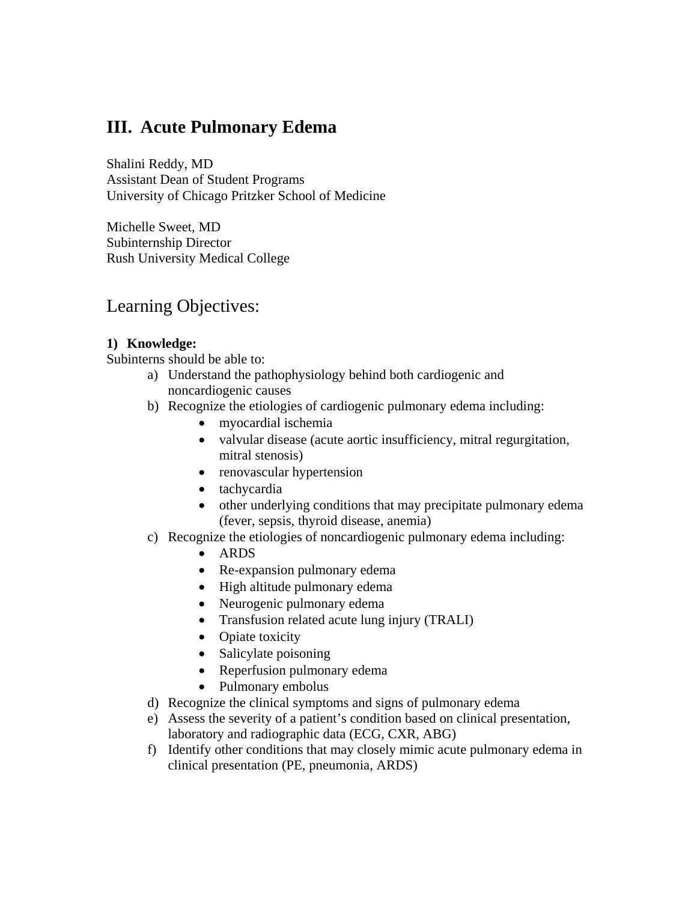# **III. Acute Pulmonary Edema**

Shalini Reddy, MD Assistant Dean of Student Programs University of Chicago Pritzker School of Medicine

Michelle Sweet, MD Subinternship Director Rush University Medical College

# Learning Objectives:

## **1) Knowledge:**

Subinterns should be able to:

- a) Understand the pathophysiology behind both cardiogenic and noncardiogenic causes
- b) Recognize the etiologies of cardiogenic pulmonary edema including:
	- myocardial ischemia
	- valvular disease (acute aortic insufficiency, mitral regurgitation, mitral stenosis)
	- renovascular hypertension
	- tachycardia
	- other underlying conditions that may precipitate pulmonary edema (fever, sepsis, thyroid disease, anemia)
- c) Recognize the etiologies of noncardiogenic pulmonary edema including:
	- ARDS
	- Re-expansion pulmonary edema
	- High altitude pulmonary edema
	- Neurogenic pulmonary edema
	- Transfusion related acute lung injury (TRALI)
	- Opiate toxicity
	- Salicylate poisoning
	- Reperfusion pulmonary edema
	- Pulmonary embolus
- d) Recognize the clinical symptoms and signs of pulmonary edema
- e) Assess the severity of a patient's condition based on clinical presentation, laboratory and radiographic data (ECG, CXR, ABG)
- f) Identify other conditions that may closely mimic acute pulmonary edema in clinical presentation (PE, pneumonia, ARDS)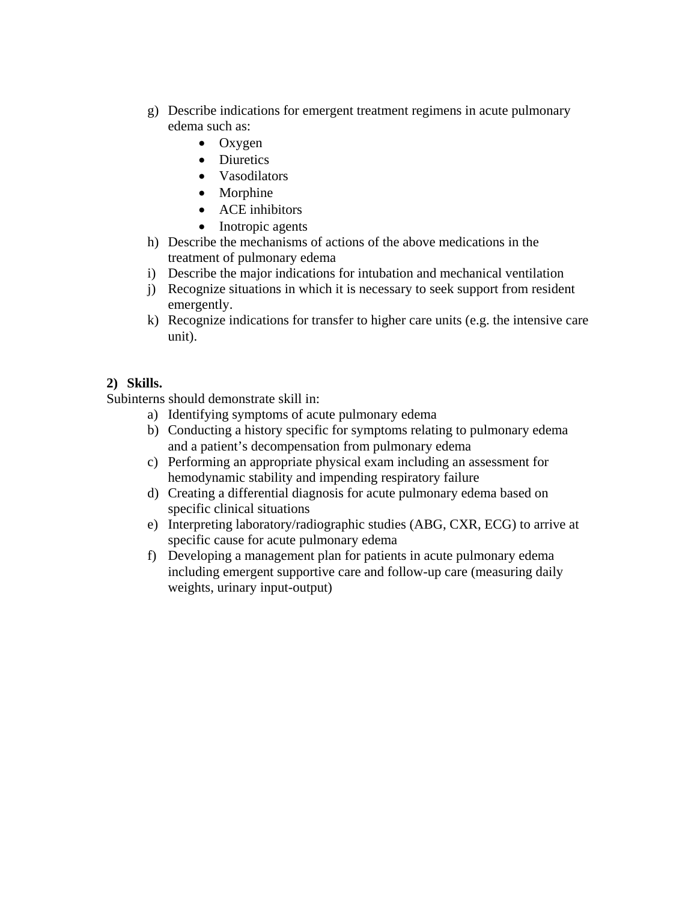- g) Describe indications for emergent treatment regimens in acute pulmonary edema such as:
	- Oxygen
	- Diuretics
	- Vasodilators
	- Morphine
	- ACE inhibitors
	- Inotropic agents
- h) Describe the mechanisms of actions of the above medications in the treatment of pulmonary edema
- i) Describe the major indications for intubation and mechanical ventilation
- j) Recognize situations in which it is necessary to seek support from resident emergently.
- k) Recognize indications for transfer to higher care units (e.g. the intensive care unit).

## **2) Skills.**

Subinterns should demonstrate skill in:

- a) Identifying symptoms of acute pulmonary edema
- b) Conducting a history specific for symptoms relating to pulmonary edema and a patient's decompensation from pulmonary edema
- c) Performing an appropriate physical exam including an assessment for hemodynamic stability and impending respiratory failure
- d) Creating a differential diagnosis for acute pulmonary edema based on specific clinical situations
- e) Interpreting laboratory/radiographic studies (ABG, CXR, ECG) to arrive at specific cause for acute pulmonary edema
- f) Developing a management plan for patients in acute pulmonary edema including emergent supportive care and follow-up care (measuring daily weights, urinary input-output)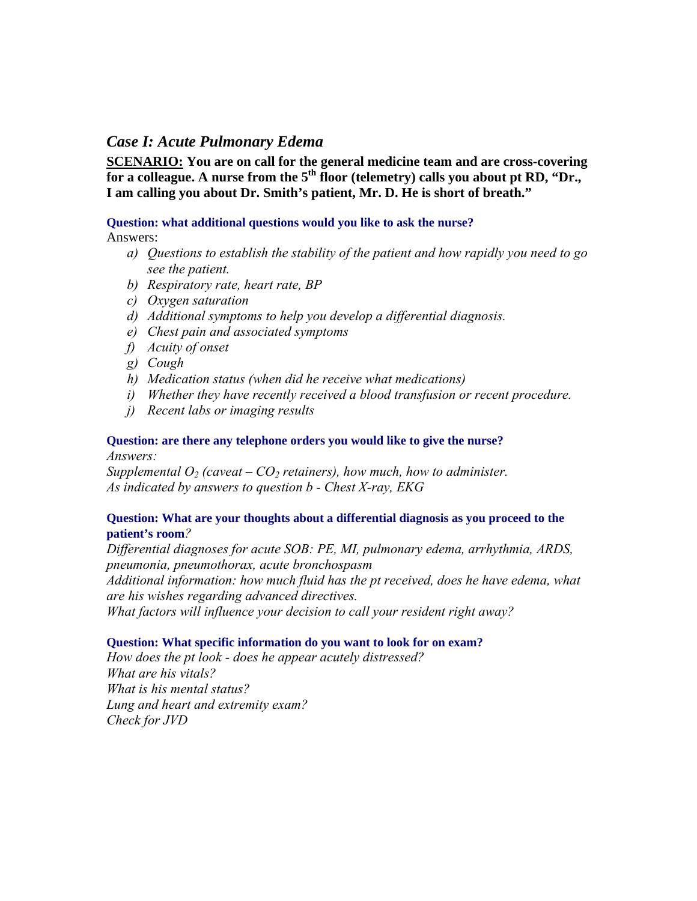## *Case I: Acute Pulmonary Edema*

**SCENARIO: You are on call for the general medicine team and are cross-covering for a colleague. A nurse from the 5<sup>th</sup> floor (telemetry) calls you about pt RD, "Dr.,**" **I am calling you about Dr. Smith's patient, Mr. D. He is short of breath."** 

### **Question: what additional questions would you like to ask the nurse?**

Answers:

- *a) Questions to establish the stability of the patient and how rapidly you need to go see the patient.*
- *b) Respiratory rate, heart rate, BP*
- *c) Oxygen saturation*
- *d) Additional symptoms to help you develop a differential diagnosis.*
- *e) Chest pain and associated symptoms*
- *f) Acuity of onset*
- *g) Cough*
- *h) Medication status (when did he receive what medications)*
- *i) Whether they have recently received a blood transfusion or recent procedure.*
- *j) Recent labs or imaging results*

#### **Question: are there any telephone orders you would like to give the nurse?**  *Answers:*

*Supplemental*  $O_2$  *(caveat –*  $CO_2$  *retainers), how much, how to administer. As indicated by answers to question b - Chest X-ray, EKG* 

## **Question: What are your thoughts about a differential diagnosis as you proceed to the patient's room***?*

*Differential diagnoses for acute SOB: PE, MI, pulmonary edema, arrhythmia, ARDS, pneumonia, pneumothorax, acute bronchospasm Additional information: how much fluid has the pt received, does he have edema, what are his wishes regarding advanced directives. What factors will influence your decision to call your resident right away?* 

### **Question: What specific information do you want to look for on exam?**

*How does the pt look - does he appear acutely distressed? What are his vitals? What is his mental status? Lung and heart and extremity exam? Check for JVD*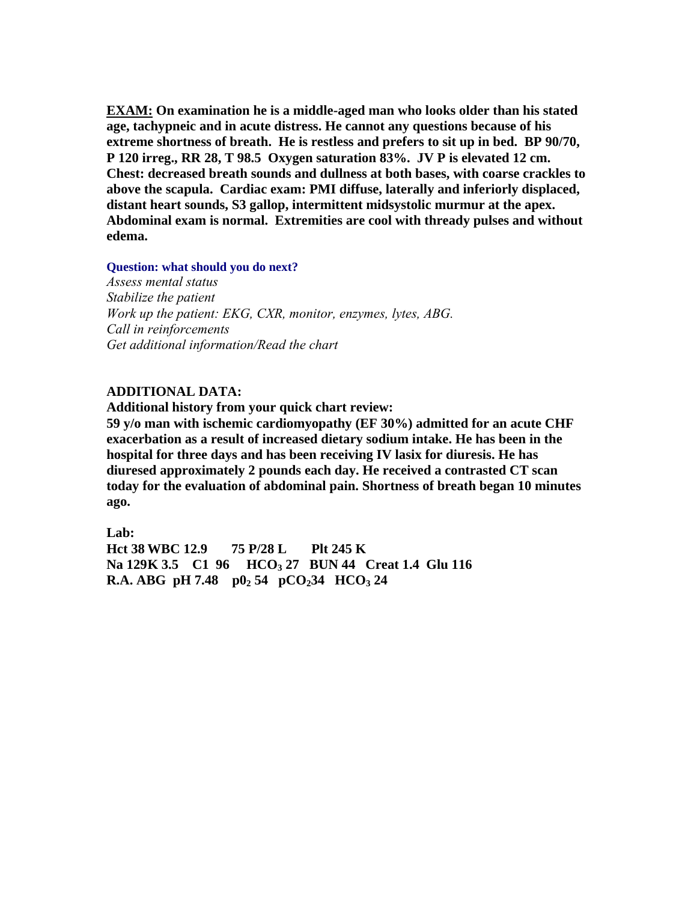**EXAM: On examination he is a middle-aged man who looks older than his stated age, tachypneic and in acute distress. He cannot any questions because of his extreme shortness of breath. He is restless and prefers to sit up in bed. BP 90/70, P 120 irreg., RR 28, T 98.5 Oxygen saturation 83%. JV P is elevated 12 cm. Chest: decreased breath sounds and dullness at both bases, with coarse crackles to above the scapula. Cardiac exam: PMI diffuse, laterally and inferiorly displaced, distant heart sounds, S3 gallop, intermittent midsystolic murmur at the apex. Abdominal exam is normal. Extremities are cool with thready pulses and without edema.** 

**Question: what should you do next?** 

*Assess mental status Stabilize the patient Work up the patient: EKG, CXR, monitor, enzymes, lytes, ABG. Call in reinforcements Get additional information/Read the chart* 

## **ADDITIONAL DATA:**

**Additional history from your quick chart review:** 

**59 y/o man with ischemic cardiomyopathy (EF 30%) admitted for an acute CHF exacerbation as a result of increased dietary sodium intake. He has been in the hospital for three days and has been receiving IV lasix for diuresis. He has diuresed approximately 2 pounds each day. He received a contrasted CT scan today for the evaluation of abdominal pain. Shortness of breath began 10 minutes ago.** 

**Lab: Hct 38 WBC 12.9 75 P/28 L Plt 245 K**  Na 129K 3.5 C1 96 HCO<sub>3</sub> 27 BUN 44 Creat 1.4 Glu 116 **R.A. ABG pH 7.48**  $p0_2$  54  $pCO_2$ 34  $HCO_3$  24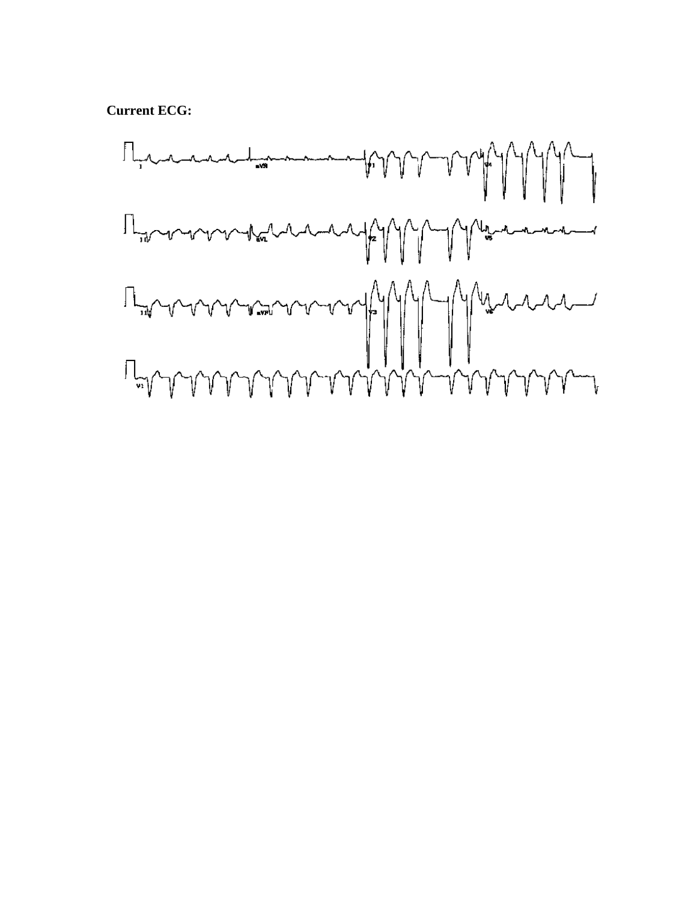**Current ECG:** 

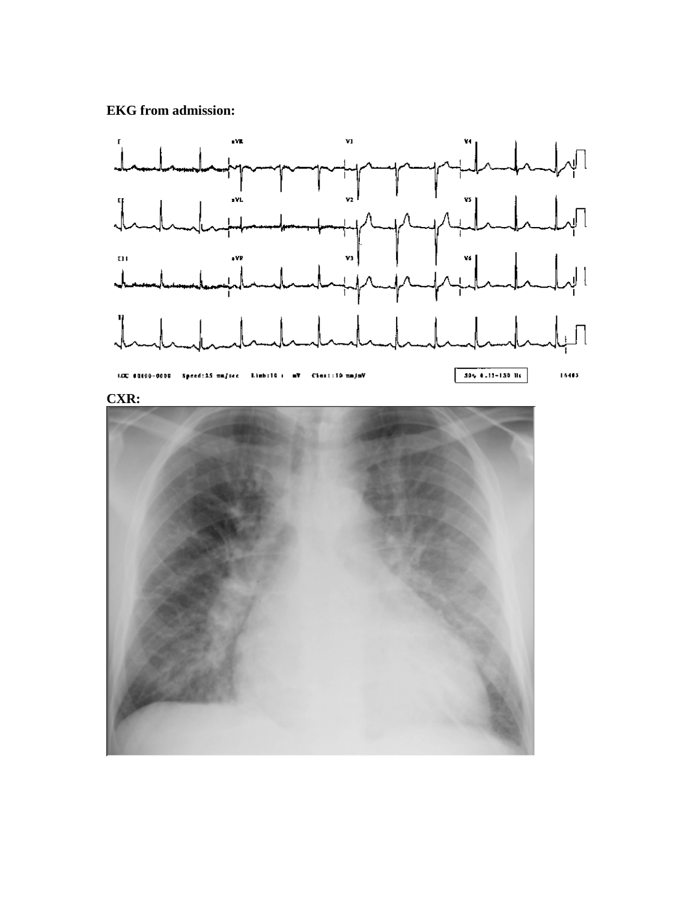## **EKG from admission:**





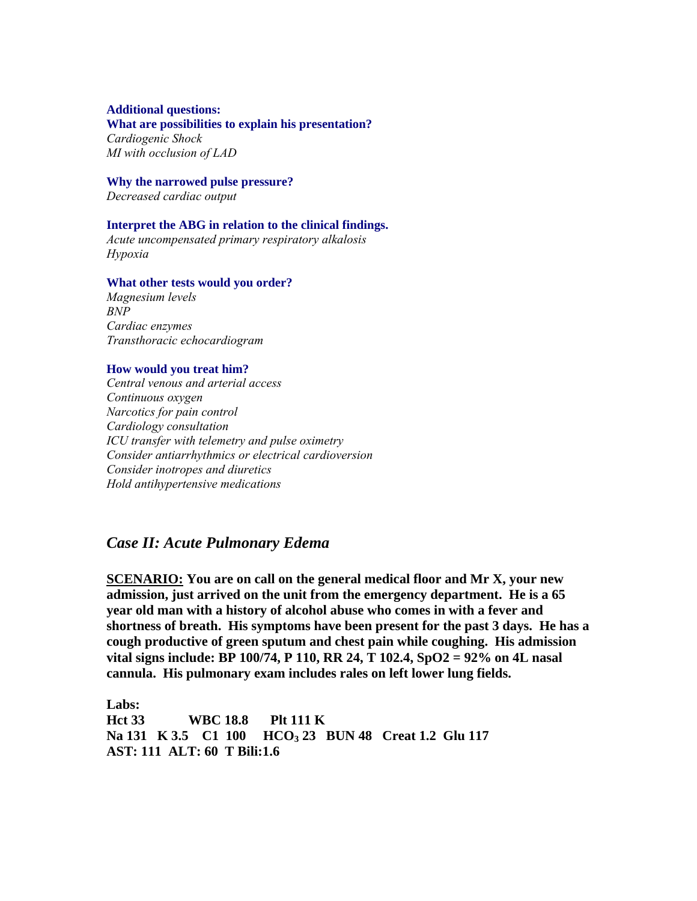#### **Additional questions:**

#### **What are possibilities to explain his presentation?**

*Cardiogenic Shock MI with occlusion of LAD* 

#### **Why the narrowed pulse pressure?**

*Decreased cardiac output* 

#### **Interpret the ABG in relation to the clinical findings.**

*Acute uncompensated primary respiratory alkalosis Hypoxia* 

#### **What other tests would you order?**

*Magnesium levels BNP Cardiac enzymes Transthoracic echocardiogram* 

#### **How would you treat him?**

*Central venous and arterial access Continuous oxygen Narcotics for pain control Cardiology consultation ICU transfer with telemetry and pulse oximetry Consider antiarrhythmics or electrical cardioversion Consider inotropes and diuretics Hold antihypertensive medications* 

## *Case II: Acute Pulmonary Edema*

**SCENARIO: You are on call on the general medical floor and Mr X, your new admission, just arrived on the unit from the emergency department. He is a 65 year old man with a history of alcohol abuse who comes in with a fever and shortness of breath. His symptoms have been present for the past 3 days. He has a cough productive of green sputum and chest pain while coughing. His admission vital signs include: BP 100/74, P 110, RR 24, T 102.4, SpO2 = 92% on 4L nasal cannula. His pulmonary exam includes rales on left lower lung fields.** 

**Labs: Hct 33 WBC 18.8 Plt 111 K**  Na 131 K 3.5 C1 100 HCO<sub>3</sub> 23 BUN 48 Creat 1.2 Glu 117 **AST: 111 ALT: 60 T Bili:1.6**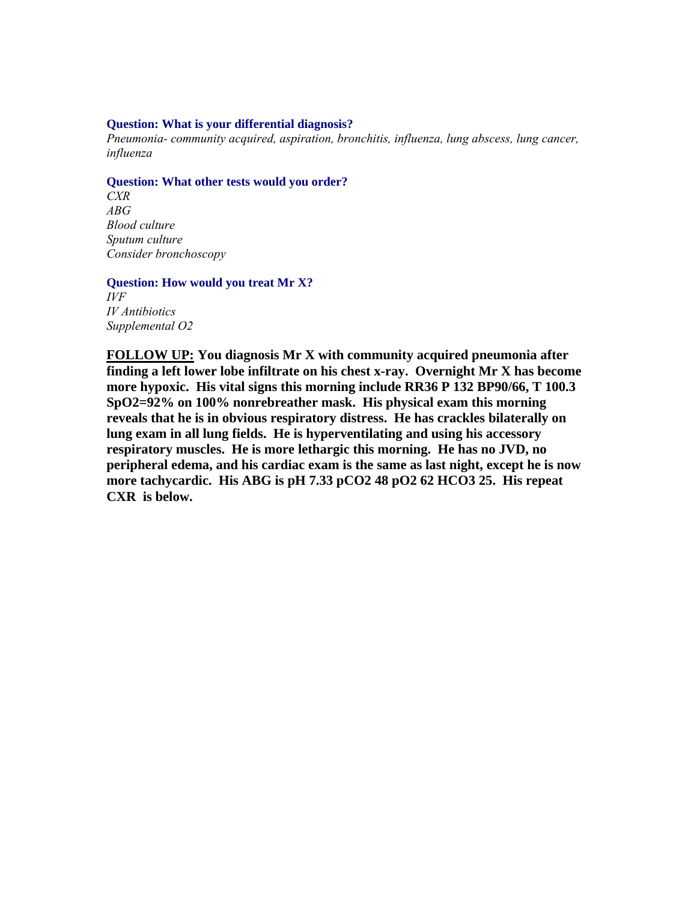#### **Question: What is your differential diagnosis?**

*Pneumonia- community acquired, aspiration, bronchitis, influenza, lung abscess, lung cancer, influenza* 

#### **Question: What other tests would you order?**

*CXR ABG Blood culture Sputum culture Consider bronchoscopy* 

#### **Question: How would you treat Mr X?**

*IVF IV Antibiotics Supplemental O2* 

**FOLLOW UP: You diagnosis Mr X with community acquired pneumonia after finding a left lower lobe infiltrate on his chest x-ray. Overnight Mr X has become more hypoxic. His vital signs this morning include RR36 P 132 BP90/66, T 100.3 SpO2=92% on 100% nonrebreather mask. His physical exam this morning reveals that he is in obvious respiratory distress. He has crackles bilaterally on lung exam in all lung fields. He is hyperventilating and using his accessory respiratory muscles. He is more lethargic this morning. He has no JVD, no peripheral edema, and his cardiac exam is the same as last night, except he is now more tachycardic. His ABG is pH 7.33 pCO2 48 pO2 62 HCO3 25. His repeat CXR is below.**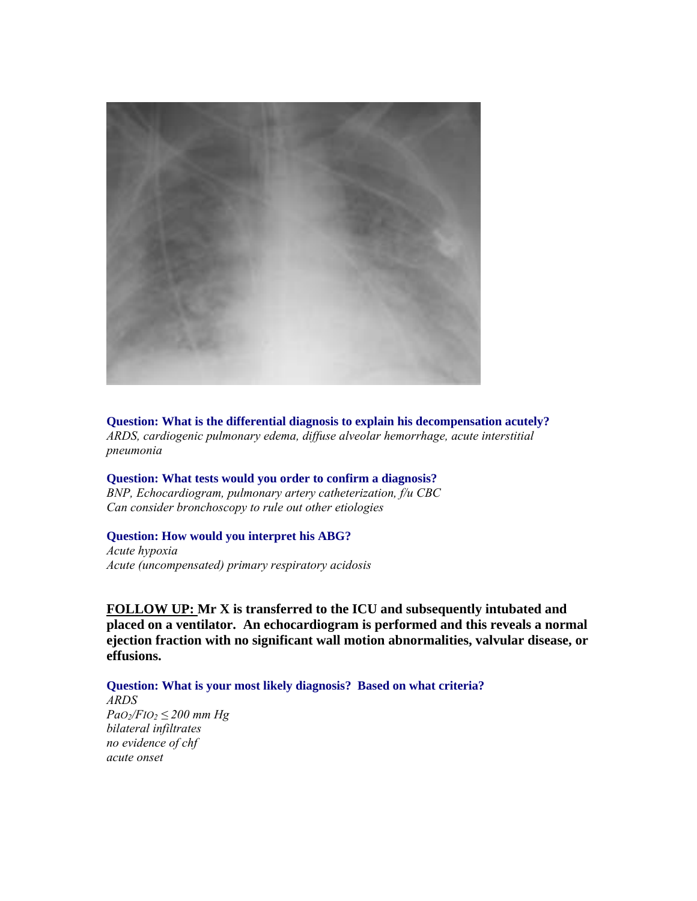

**Question: What is the differential diagnosis to explain his decompensation acutely?**  *ARDS, cardiogenic pulmonary edema, diffuse alveolar hemorrhage, acute interstitial pneumonia* 

**Question: What tests would you order to confirm a diagnosis?**  *BNP, Echocardiogram, pulmonary artery catheterization, f/u CBC Can consider bronchoscopy to rule out other etiologies*

#### **Question: How would you interpret his ABG?**

*Acute hypoxia Acute (uncompensated) primary respiratory acidosis* 

**FOLLOW UP: Mr X is transferred to the ICU and subsequently intubated and placed on a ventilator. An echocardiogram is performed and this reveals a normal ejection fraction with no significant wall motion abnormalities, valvular disease, or effusions.** 

**Question: What is your most likely diagnosis? Based on what criteria?** 

*ARDS*   $PaO_2/FIO_2 \leq 200$  mm Hg *bilateral infiltrates no evidence of chf acute onset*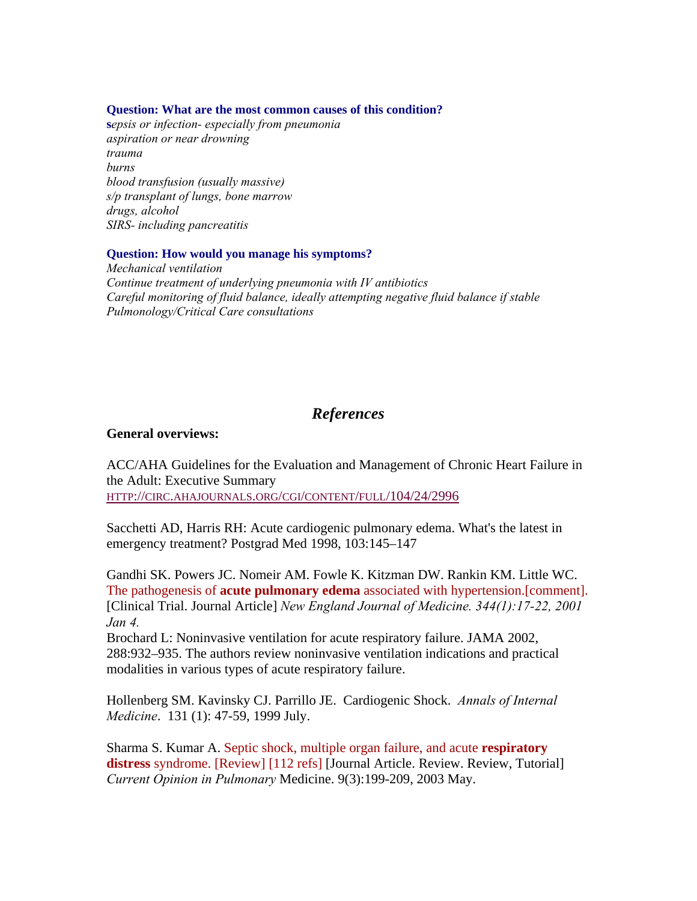#### **Question: What are the most common causes of this condition?**

**s***epsis or infection- especially from pneumonia aspiration or near drowning trauma burns blood transfusion (usually massive) s/p transplant of lungs, bone marrow drugs, alcohol SIRS- including pancreatitis* 

#### **Question: How would you manage his symptoms?**

*Mechanical ventilation Continue treatment of underlying pneumonia with IV antibiotics Careful monitoring of fluid balance, ideally attempting negative fluid balance if stable Pulmonology/Critical Care consultations* 

## *References*

## **General overviews:**

ACC/AHA Guidelines for the Evaluation and Management of Chronic Heart Failure in the Adult: Executive Summary HTTP://CIRC.AHAJOURNALS.ORG/CGI/CONTENT/FULL/104/24/2996

Sacchetti AD, Harris RH: Acute cardiogenic pulmonary edema. What's the latest in emergency treatment? Postgrad Med 1998, 103:145–147

Gandhi SK. Powers JC. Nomeir AM. Fowle K. Kitzman DW. Rankin KM. Little WC. The pathogenesis of **acute pulmonary edema** associated with hypertension.[comment]. [Clinical Trial. Journal Article] *New England Journal of Medicine. 344(1):17-22, 2001 Jan 4.*

Brochard L: Noninvasive ventilation for acute respiratory failure. JAMA 2002, 288:932–935. The authors review noninvasive ventilation indications and practical modalities in various types of acute respiratory failure.

Hollenberg SM. Kavinsky CJ. Parrillo JE. Cardiogenic Shock. *Annals of Internal Medicine*. 131 (1): 47-59, 1999 July.

Sharma S. Kumar A. Septic shock, multiple organ failure, and acute **respiratory distress** syndrome. [Review] [112 refs] [Journal Article. Review. Review, Tutorial] *Current Opinion in Pulmonary* Medicine. 9(3):199-209, 2003 May.